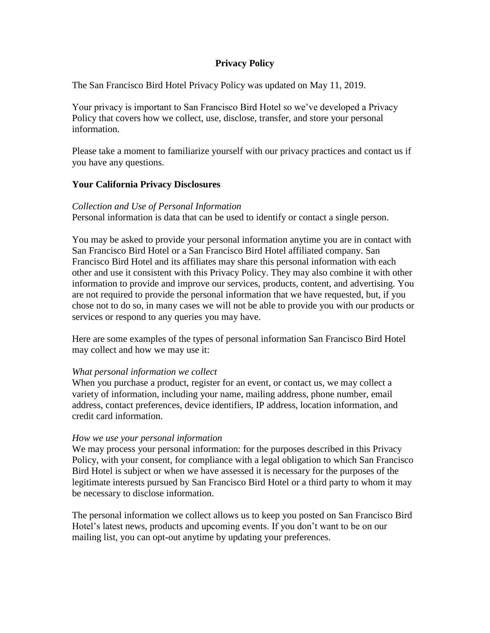# **Privacy Policy**

The San Francisco Bird Hotel Privacy Policy was updated on May 11, 2019.

Your privacy is important to San Francisco Bird Hotel so we've developed a Privacy Policy that covers how we collect, use, disclose, transfer, and store your personal information.

Please take a moment to familiarize yourself with our privacy practices and contact us if you have any questions.

# **Your California Privacy Disclosures**

## *Collection and Use of Personal Information*

Personal information is data that can be used to identify or contact a single person.

You may be asked to provide your personal information anytime you are in contact with San Francisco Bird Hotel or a San Francisco Bird Hotel affiliated company. San Francisco Bird Hotel and its affiliates may share this personal information with each other and use it consistent with this Privacy Policy. They may also combine it with other information to provide and improve our services, products, content, and advertising. You are not required to provide the personal information that we have requested, but, if you chose not to do so, in many cases we will not be able to provide you with our products or services or respond to any queries you may have.

Here are some examples of the types of personal information San Francisco Bird Hotel may collect and how we may use it:

## *What personal information we collect*

When you purchase a product, register for an event, or contact us, we may collect a variety of information, including your name, mailing address, phone number, email address, contact preferences, device identifiers, IP address, location information, and credit card information.

## *How we use your personal information*

We may process your personal information: for the purposes described in this Privacy Policy, with your consent, for compliance with a legal obligation to which San Francisco Bird Hotel is subject or when we have assessed it is necessary for the purposes of the legitimate interests pursued by San Francisco Bird Hotel or a third party to whom it may be necessary to disclose information.

The personal information we collect allows us to keep you posted on San Francisco Bird Hotel's latest news, products and upcoming events. If you don't want to be on our mailing list, you can opt-out anytime by updating your preferences.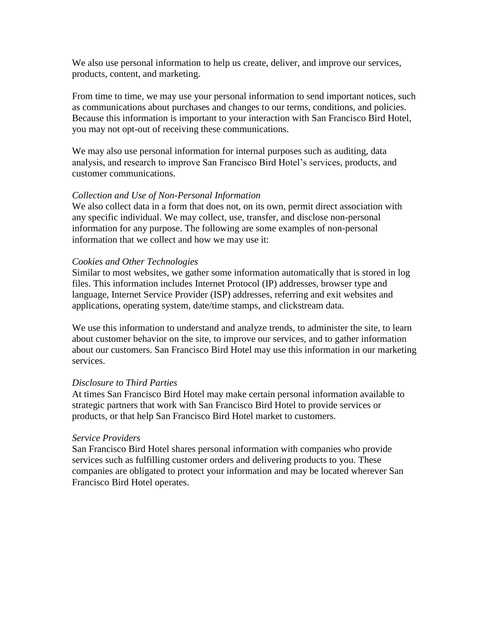We also use personal information to help us create, deliver, and improve our services, products, content, and marketing.

From time to time, we may use your personal information to send important notices, such as communications about purchases and changes to our terms, conditions, and policies. Because this information is important to your interaction with San Francisco Bird Hotel, you may not opt-out of receiving these communications.

We may also use personal information for internal purposes such as auditing, data analysis, and research to improve San Francisco Bird Hotel's services, products, and customer communications.

### *Collection and Use of Non-Personal Information*

We also collect data in a form that does not, on its own, permit direct association with any specific individual. We may collect, use, transfer, and disclose non-personal information for any purpose. The following are some examples of non-personal information that we collect and how we may use it:

### *Cookies and Other Technologies*

Similar to most websites, we gather some information automatically that is stored in log files. This information includes Internet Protocol (IP) addresses, browser type and language, Internet Service Provider (ISP) addresses, referring and exit websites and applications, operating system, date/time stamps, and clickstream data.

We use this information to understand and analyze trends, to administer the site, to learn about customer behavior on the site, to improve our services, and to gather information about our customers. San Francisco Bird Hotel may use this information in our marketing services.

#### *Disclosure to Third Parties*

At times San Francisco Bird Hotel may make certain personal information available to strategic partners that work with San Francisco Bird Hotel to provide services or products, or that help San Francisco Bird Hotel market to customers.

#### *Service Providers*

San Francisco Bird Hotel shares personal information with companies who provide services such as fulfilling customer orders and delivering products to you. These companies are obligated to protect your information and may be located wherever San Francisco Bird Hotel operates.